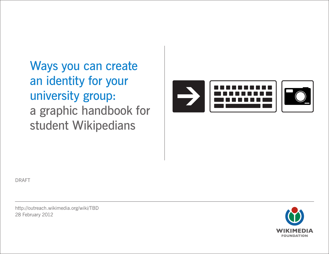Ways you can create an identity for your university group: a graphic handbook for student Wikipedians



DRAFT

http://[outreach.wikimedia.org/wiki/](http://outreach.wikimedia.org/wiki/Wikipedia_Education_Program)TBD 28 February 2012

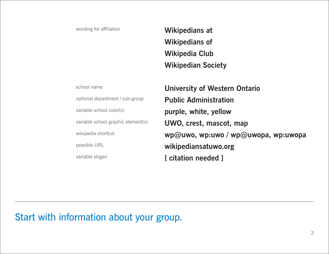wording for affiliation

**Wikipedians at Wikipedians of Wikipedia Club Wikipedian Society**

school name optional department / sub-group variable school color(s) variable school graphic element(s) wikipedia shortcut possible URL variable slogan

**University of Western Ontario Public Administration purple, white, yellow UWO, crest, mascot, map wp@uwo, wp:uwo / wp@uwopa, wp:uwopa wikipediansatuwo.org [ citation needed ]**

Start with information about your group.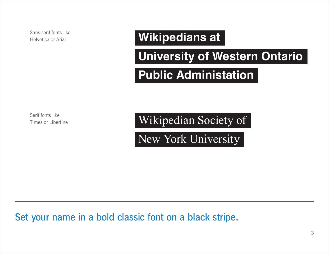Sans serif fonts like Helvetica or Arial

## **Wikipedians at**

## **University of Western Ontario**

## **Public Administation**

Serif fonts like Times or Libertine

Wikipedian Society of

New York University

Set your name in a bold classic font on a black stripe.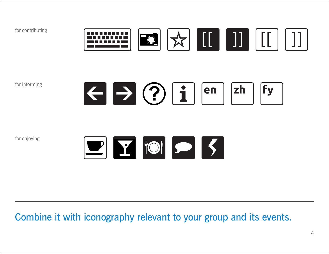for contributing



for informing



for enjoying



#### Combine it with iconography relevant to your group and its events.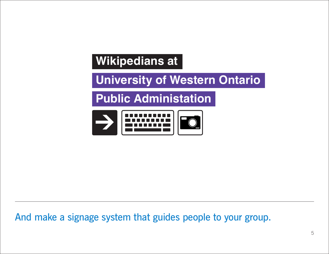# **Wikipedians at**

**University of Western Ontario**

**Public Administation**



And make a signage system that guides people to your group.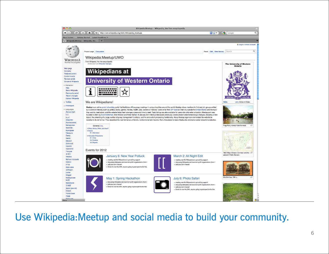

#### Use Wikipedia:Meetup and social media to build your community.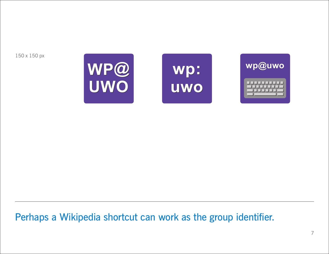150 x 150 px







Perhaps a Wikipedia shortcut can work as the group identifier.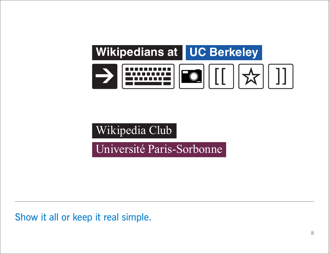

Wikipedia Club

Université Paris-Sorbonne

Show it all or keep it real simple.